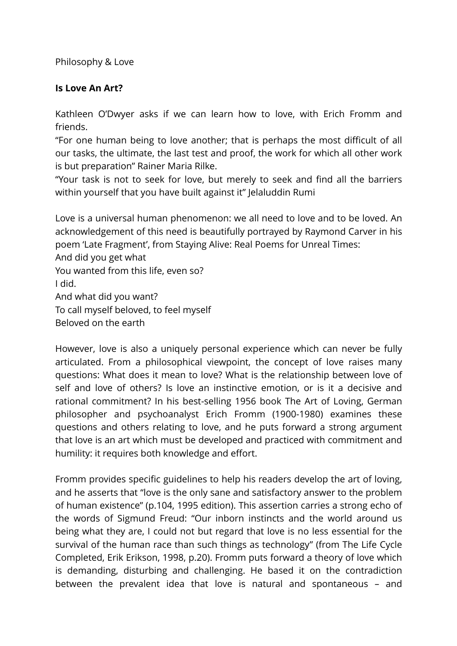Philosophy & Love

## **Is Love An Art?**

Kathleen O'Dwyer asks if we can learn how to love, with Erich Fromm and friends.

"For one human being to love another; that is perhaps the most difficult of all our tasks, the ultimate, the last test and proof, the work for which all other work is but preparation" Rainer Maria Rilke.

"Your task is not to seek for love, but merely to seek and find all the barriers within yourself that you have built against it" Jelaluddin Rumi

Love is a universal human phenomenon: we all need to love and to be loved. An acknowledgement of this need is beautifully portrayed by Raymond Carver in his poem 'Late Fragment', from Staying Alive: Real Poems for Unreal Times: And did you get what

You wanted from this life, even so?

I did.

And what did you want?

To call myself beloved, to feel myself

Beloved on the earth

However, love is also a uniquely personal experience which can never be fully articulated. From a philosophical viewpoint, the concept of love raises many questions: What does it mean to love? What is the relationship between love of self and love of others? Is love an instinctive emotion, or is it a decisive and rational commitment? In his best-selling 1956 book The Art of Loving, German philosopher and psychoanalyst Erich Fromm (1900-1980) examines these questions and others relating to love, and he puts forward a strong argument that love is an art which must be developed and practiced with commitment and humility: it requires both knowledge and effort.

Fromm provides specific guidelines to help his readers develop the art of loving, and he asserts that "love is the only sane and satisfactory answer to the problem of human existence" (p.104, 1995 edition). This assertion carries a strong echo of the words of Sigmund Freud: "Our inborn instincts and the world around us being what they are, I could not but regard that love is no less essential for the survival of the human race than such things as technology" (from The Life Cycle Completed, Erik Erikson, 1998, p.20). Fromm puts forward a theory of love which is demanding, disturbing and challenging. He based it on the contradiction between the prevalent idea that love is natural and spontaneous – and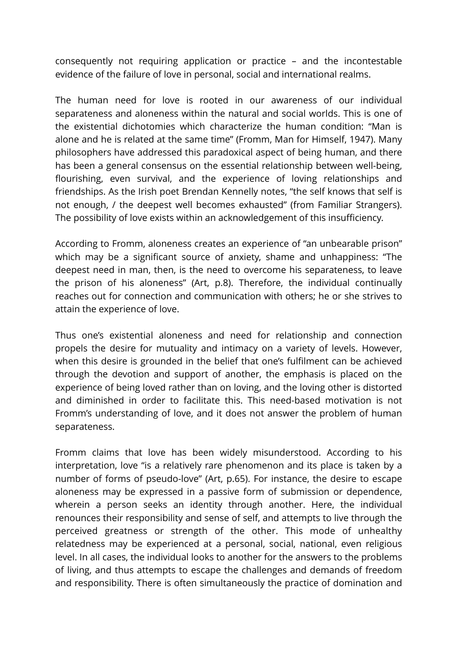consequently not requiring application or practice – and the incontestable evidence of the failure of love in personal, social and international realms.

The human need for love is rooted in our awareness of our individual separateness and aloneness within the natural and social worlds. This is one of the existential dichotomies which characterize the human condition: "Man is alone and he is related at the same time" (Fromm, Man for Himself, 1947). Many philosophers have addressed this paradoxical aspect of being human, and there has been a general consensus on the essential relationship between well-being, flourishing, even survival, and the experience of loving relationships and friendships. As the Irish poet Brendan Kennelly notes, "the self knows that self is not enough, / the deepest well becomes exhausted" (from Familiar Strangers). The possibility of love exists within an acknowledgement of this insufficiency.

According to Fromm, aloneness creates an experience of "an unbearable prison" which may be a significant source of anxiety, shame and unhappiness: "The deepest need in man, then, is the need to overcome his separateness, to leave the prison of his aloneness" (Art, p.8). Therefore, the individual continually reaches out for connection and communication with others; he or she strives to attain the experience of love.

Thus one's existential aloneness and need for relationship and connection propels the desire for mutuality and intimacy on a variety of levels. However, when this desire is grounded in the belief that one's fulfilment can be achieved through the devotion and support of another, the emphasis is placed on the experience of being loved rather than on loving, and the loving other is distorted and diminished in order to facilitate this. This need-based motivation is not Fromm's understanding of love, and it does not answer the problem of human separateness.

Fromm claims that love has been widely misunderstood. According to his interpretation, love "is a relatively rare phenomenon and its place is taken by a number of forms of pseudo-love" (Art, p.65). For instance, the desire to escape aloneness may be expressed in a passive form of submission or dependence, wherein a person seeks an identity through another. Here, the individual renounces their responsibility and sense of self, and attempts to live through the perceived greatness or strength of the other. This mode of unhealthy relatedness may be experienced at a personal, social, national, even religious level. In all cases, the individual looks to another for the answers to the problems of living, and thus attempts to escape the challenges and demands of freedom and responsibility. There is often simultaneously the practice of domination and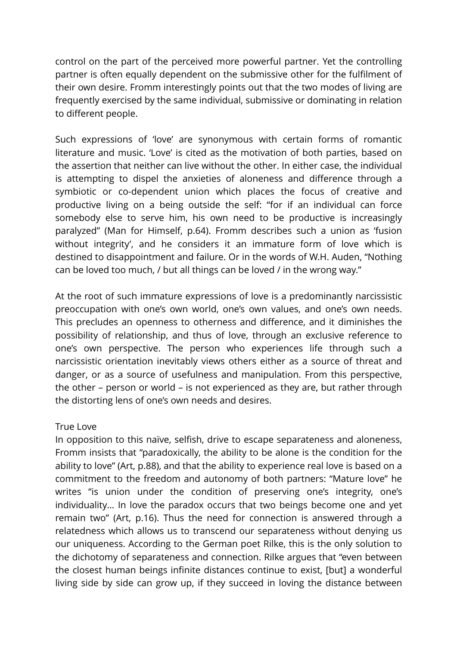control on the part of the perceived more powerful partner. Yet the controlling partner is often equally dependent on the submissive other for the fulfilment of their own desire. Fromm interestingly points out that the two modes of living are frequently exercised by the same individual, submissive or dominating in relation to different people.

Such expressions of 'love' are synonymous with certain forms of romantic literature and music. 'Love' is cited as the motivation of both parties, based on the assertion that neither can live without the other. In either case, the individual is attempting to dispel the anxieties of aloneness and difference through a symbiotic or co-dependent union which places the focus of creative and productive living on a being outside the self: "for if an individual can force somebody else to serve him, his own need to be productive is increasingly paralyzed" (Man for Himself, p.64). Fromm describes such a union as 'fusion without integrity', and he considers it an immature form of love which is destined to disappointment and failure. Or in the words of W.H. Auden, "Nothing can be loved too much, / but all things can be loved / in the wrong way."

At the root of such immature expressions of love is a predominantly narcissistic preoccupation with one's own world, one's own values, and one's own needs. This precludes an openness to otherness and difference, and it diminishes the possibility of relationship, and thus of love, through an exclusive reference to one's own perspective. The person who experiences life through such a narcissistic orientation inevitably views others either as a source of threat and danger, or as a source of usefulness and manipulation. From this perspective, the other – person or world – is not experienced as they are, but rather through the distorting lens of one's own needs and desires.

## True Love

In opposition to this naïve, selfish, drive to escape separateness and aloneness, Fromm insists that "paradoxically, the ability to be alone is the condition for the ability to love" (Art, p.88), and that the ability to experience real love is based on a commitment to the freedom and autonomy of both partners: "Mature love" he writes "is union under the condition of preserving one's integrity, one's individuality… In love the paradox occurs that two beings become one and yet remain two" (Art, p.16). Thus the need for connection is answered through a relatedness which allows us to transcend our separateness without denying us our uniqueness. According to the German poet Rilke, this is the only solution to the dichotomy of separateness and connection. Rilke argues that "even between the closest human beings infinite distances continue to exist, [but] a wonderful living side by side can grow up, if they succeed in loving the distance between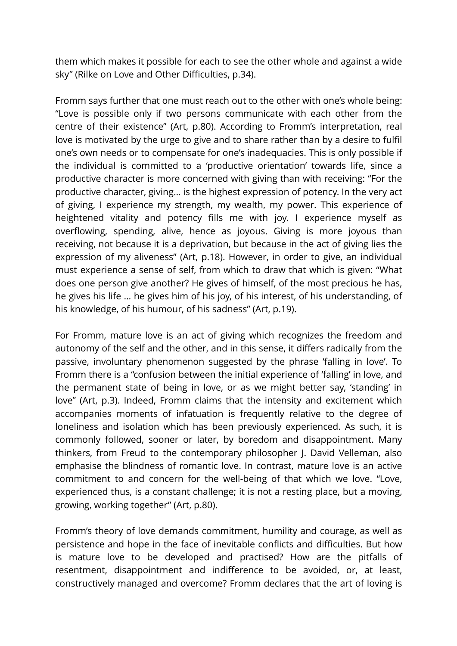them which makes it possible for each to see the other whole and against a wide sky" (Rilke on Love and Other Difficulties, p.34).

Fromm says further that one must reach out to the other with one's whole being: "Love is possible only if two persons communicate with each other from the centre of their existence" (Art, p.80). According to Fromm's interpretation, real love is motivated by the urge to give and to share rather than by a desire to fulfil one's own needs or to compensate for one's inadequacies. This is only possible if the individual is committed to a 'productive orientation' towards life, since a productive character is more concerned with giving than with receiving: "For the productive character, giving… is the highest expression of potency. In the very act of giving, I experience my strength, my wealth, my power. This experience of heightened vitality and potency fills me with joy. I experience myself as overflowing, spending, alive, hence as joyous. Giving is more joyous than receiving, not because it is a deprivation, but because in the act of giving lies the expression of my aliveness" (Art, p.18). However, in order to give, an individual must experience a sense of self, from which to draw that which is given: "What does one person give another? He gives of himself, of the most precious he has, he gives his life … he gives him of his joy, of his interest, of his understanding, of his knowledge, of his humour, of his sadness" (Art, p.19).

For Fromm, mature love is an act of giving which recognizes the freedom and autonomy of the self and the other, and in this sense, it differs radically from the passive, involuntary phenomenon suggested by the phrase 'falling in love'. To Fromm there is a "confusion between the initial experience of 'falling' in love, and the permanent state of being in love, or as we might better say, 'standing' in love" (Art, p.3). Indeed, Fromm claims that the intensity and excitement which accompanies moments of infatuation is frequently relative to the degree of loneliness and isolation which has been previously experienced. As such, it is commonly followed, sooner or later, by boredom and disappointment. Many thinkers, from Freud to the contemporary philosopher J. David Velleman, also emphasise the blindness of romantic love. In contrast, mature love is an active commitment to and concern for the well-being of that which we love. "Love, experienced thus, is a constant challenge; it is not a resting place, but a moving, growing, working together" (Art, p.80).

Fromm's theory of love demands commitment, humility and courage, as well as persistence and hope in the face of inevitable conflicts and difficulties. But how is mature love to be developed and practised? How are the pitfalls of resentment, disappointment and indifference to be avoided, or, at least, constructively managed and overcome? Fromm declares that the art of loving is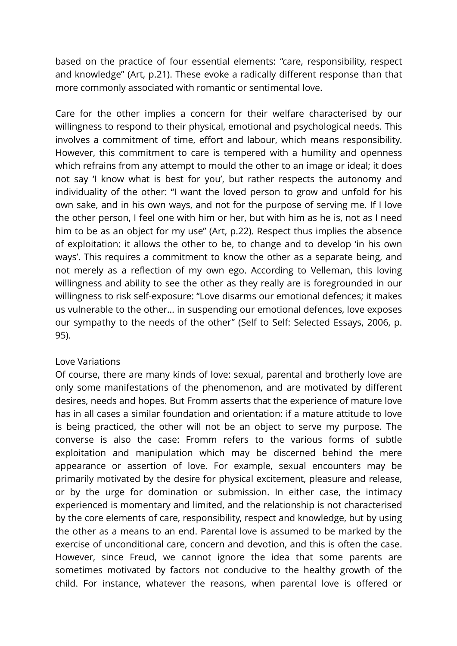based on the practice of four essential elements: "care, responsibility, respect and knowledge" (Art, p.21). These evoke a radically different response than that more commonly associated with romantic or sentimental love.

Care for the other implies a concern for their welfare characterised by our willingness to respond to their physical, emotional and psychological needs. This involves a commitment of time, effort and labour, which means responsibility. However, this commitment to care is tempered with a humility and openness which refrains from any attempt to mould the other to an image or ideal; it does not say 'I know what is best for you', but rather respects the autonomy and individuality of the other: "I want the loved person to grow and unfold for his own sake, and in his own ways, and not for the purpose of serving me. If I love the other person, I feel one with him or her, but with him as he is, not as I need him to be as an object for my use" (Art, p.22). Respect thus implies the absence of exploitation: it allows the other to be, to change and to develop 'in his own ways'. This requires a commitment to know the other as a separate being, and not merely as a reflection of my own ego. According to Velleman, this loving willingness and ability to see the other as they really are is foregrounded in our willingness to risk self-exposure: "Love disarms our emotional defences; it makes us vulnerable to the other… in suspending our emotional defences, love exposes our sympathy to the needs of the other" (Self to Self: Selected Essays, 2006, p. 95).

## Love Variations

Of course, there are many kinds of love: sexual, parental and brotherly love are only some manifestations of the phenomenon, and are motivated by different desires, needs and hopes. But Fromm asserts that the experience of mature love has in all cases a similar foundation and orientation: if a mature attitude to love is being practiced, the other will not be an object to serve my purpose. The converse is also the case: Fromm refers to the various forms of subtle exploitation and manipulation which may be discerned behind the mere appearance or assertion of love. For example, sexual encounters may be primarily motivated by the desire for physical excitement, pleasure and release, or by the urge for domination or submission. In either case, the intimacy experienced is momentary and limited, and the relationship is not characterised by the core elements of care, responsibility, respect and knowledge, but by using the other as a means to an end. Parental love is assumed to be marked by the exercise of unconditional care, concern and devotion, and this is often the case. However, since Freud, we cannot ignore the idea that some parents are sometimes motivated by factors not conducive to the healthy growth of the child. For instance, whatever the reasons, when parental love is offered or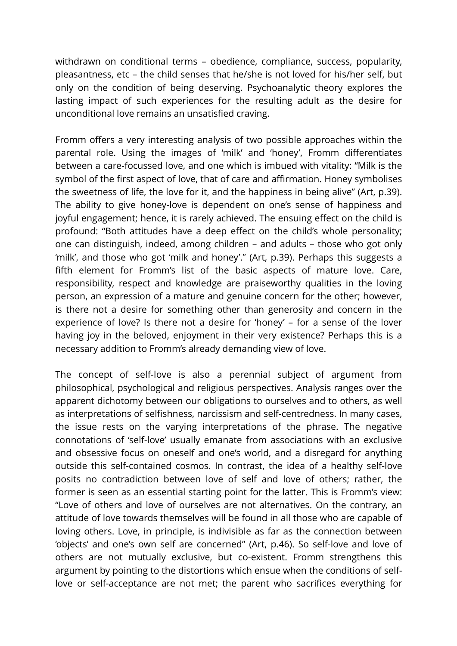withdrawn on conditional terms – obedience, compliance, success, popularity, pleasantness, etc – the child senses that he/she is not loved for his/her self, but only on the condition of being deserving. Psychoanalytic theory explores the lasting impact of such experiences for the resulting adult as the desire for unconditional love remains an unsatisfied craving.

Fromm offers a very interesting analysis of two possible approaches within the parental role. Using the images of 'milk' and 'honey', Fromm differentiates between a care-focussed love, and one which is imbued with vitality: "Milk is the symbol of the first aspect of love, that of care and affirmation. Honey symbolises the sweetness of life, the love for it, and the happiness in being alive" (Art, p.39). The ability to give honey-love is dependent on one's sense of happiness and joyful engagement; hence, it is rarely achieved. The ensuing effect on the child is profound: "Both attitudes have a deep effect on the child's whole personality; one can distinguish, indeed, among children – and adults – those who got only 'milk', and those who got 'milk and honey'." (Art, p.39). Perhaps this suggests a fifth element for Fromm's list of the basic aspects of mature love. Care, responsibility, respect and knowledge are praiseworthy qualities in the loving person, an expression of a mature and genuine concern for the other; however, is there not a desire for something other than generosity and concern in the experience of love? Is there not a desire for 'honey' – for a sense of the lover having joy in the beloved, enjoyment in their very existence? Perhaps this is a necessary addition to Fromm's already demanding view of love.

The concept of self-love is also a perennial subject of argument from philosophical, psychological and religious perspectives. Analysis ranges over the apparent dichotomy between our obligations to ourselves and to others, as well as interpretations of selfishness, narcissism and self-centredness. In many cases, the issue rests on the varying interpretations of the phrase. The negative connotations of 'self-love' usually emanate from associations with an exclusive and obsessive focus on oneself and one's world, and a disregard for anything outside this self-contained cosmos. In contrast, the idea of a healthy self-love posits no contradiction between love of self and love of others; rather, the former is seen as an essential starting point for the latter. This is Fromm's view: "Love of others and love of ourselves are not alternatives. On the contrary, an attitude of love towards themselves will be found in all those who are capable of loving others. Love, in principle, is indivisible as far as the connection between 'objects' and one's own self are concerned" (Art, p.46). So self-love and love of others are not mutually exclusive, but co-existent. Fromm strengthens this argument by pointing to the distortions which ensue when the conditions of selflove or self-acceptance are not met; the parent who sacrifices everything for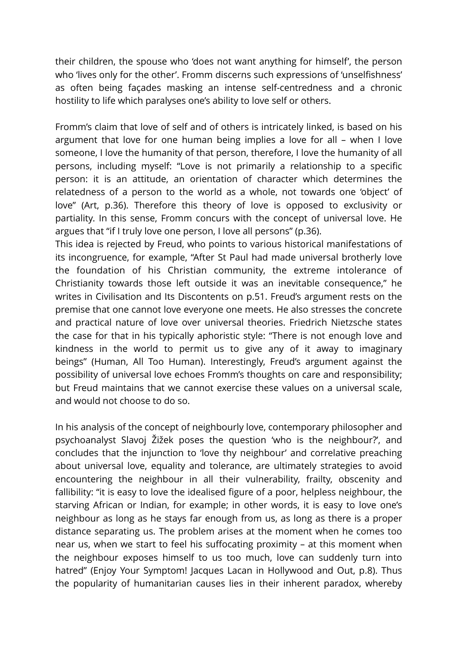their children, the spouse who 'does not want anything for himself', the person who 'lives only for the other'. Fromm discerns such expressions of 'unselfishness' as often being façades masking an intense self-centredness and a chronic hostility to life which paralyses one's ability to love self or others.

Fromm's claim that love of self and of others is intricately linked, is based on his argument that love for one human being implies a love for all – when I love someone, I love the humanity of that person, therefore, I love the humanity of all persons, including myself: "Love is not primarily a relationship to a specific person: it is an attitude, an orientation of character which determines the relatedness of a person to the world as a whole, not towards one 'object' of love" (Art, p.36). Therefore this theory of love is opposed to exclusivity or partiality. In this sense, Fromm concurs with the concept of universal love. He argues that "if I truly love one person, I love all persons" (p.36).

This idea is rejected by Freud, who points to various historical manifestations of its incongruence, for example, "After St Paul had made universal brotherly love the foundation of his Christian community, the extreme intolerance of Christianity towards those left outside it was an inevitable consequence," he writes in Civilisation and Its Discontents on p.51. Freud's argument rests on the premise that one cannot love everyone one meets. He also stresses the concrete and practical nature of love over universal theories. Friedrich Nietzsche states the case for that in his typically aphoristic style: "There is not enough love and kindness in the world to permit us to give any of it away to imaginary beings" (Human, All Too Human). Interestingly, Freud's argument against the possibility of universal love echoes Fromm's thoughts on care and responsibility; but Freud maintains that we cannot exercise these values on a universal scale, and would not choose to do so.

In his analysis of the concept of neighbourly love, contemporary philosopher and psychoanalyst Slavoj Žižek poses the question 'who is the neighbour?', and concludes that the injunction to 'love thy neighbour' and correlative preaching about universal love, equality and tolerance, are ultimately strategies to avoid encountering the neighbour in all their vulnerability, frailty, obscenity and fallibility: "it is easy to love the idealised figure of a poor, helpless neighbour, the starving African or Indian, for example; in other words, it is easy to love one's neighbour as long as he stays far enough from us, as long as there is a proper distance separating us. The problem arises at the moment when he comes too near us, when we start to feel his suffocating proximity – at this moment when the neighbour exposes himself to us too much, love can suddenly turn into hatred" (Enjoy Your Symptom! Jacques Lacan in Hollywood and Out, p.8). Thus the popularity of humanitarian causes lies in their inherent paradox, whereby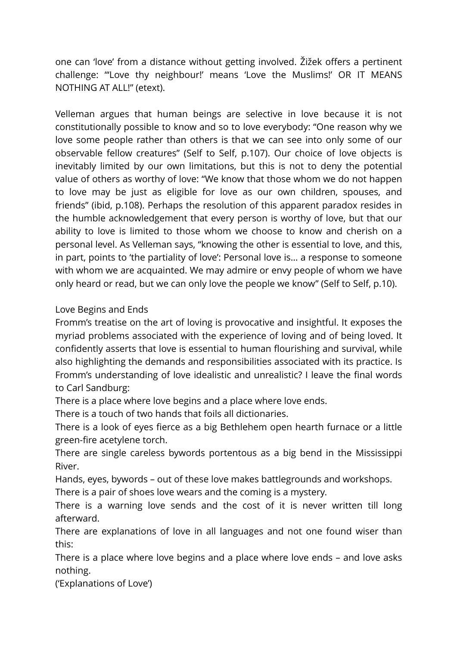one can 'love' from a distance without getting involved. Žižek offers a pertinent challenge: "'Love thy neighbour!' means 'Love the Muslims!' OR IT MEANS NOTHING AT ALL!" (etext).

Velleman argues that human beings are selective in love because it is not constitutionally possible to know and so to love everybody: "One reason why we love some people rather than others is that we can see into only some of our observable fellow creatures" (Self to Self, p.107). Our choice of love objects is inevitably limited by our own limitations, but this is not to deny the potential value of others as worthy of love: "We know that those whom we do not happen to love may be just as eligible for love as our own children, spouses, and friends" (ibid, p.108). Perhaps the resolution of this apparent paradox resides in the humble acknowledgement that every person is worthy of love, but that our ability to love is limited to those whom we choose to know and cherish on a personal level. As Velleman says, "knowing the other is essential to love, and this, in part, points to 'the partiality of love': Personal love is… a response to someone with whom we are acquainted. We may admire or envy people of whom we have only heard or read, but we can only love the people we know" (Self to Self, p.10).

## Love Begins and Ends

Fromm's treatise on the art of loving is provocative and insightful. It exposes the myriad problems associated with the experience of loving and of being loved. It confidently asserts that love is essential to human flourishing and survival, while also highlighting the demands and responsibilities associated with its practice. Is Fromm's understanding of love idealistic and unrealistic? I leave the final words to Carl Sandburg:

There is a place where love begins and a place where love ends.

There is a touch of two hands that foils all dictionaries.

There is a look of eyes fierce as a big Bethlehem open hearth furnace or a little green-fire acetylene torch.

There are single careless bywords portentous as a big bend in the Mississippi River.

Hands, eyes, bywords – out of these love makes battlegrounds and workshops.

There is a pair of shoes love wears and the coming is a mystery.

There is a warning love sends and the cost of it is never written till long afterward.

There are explanations of love in all languages and not one found wiser than this:

There is a place where love begins and a place where love ends – and love asks nothing.

('Explanations of Love')